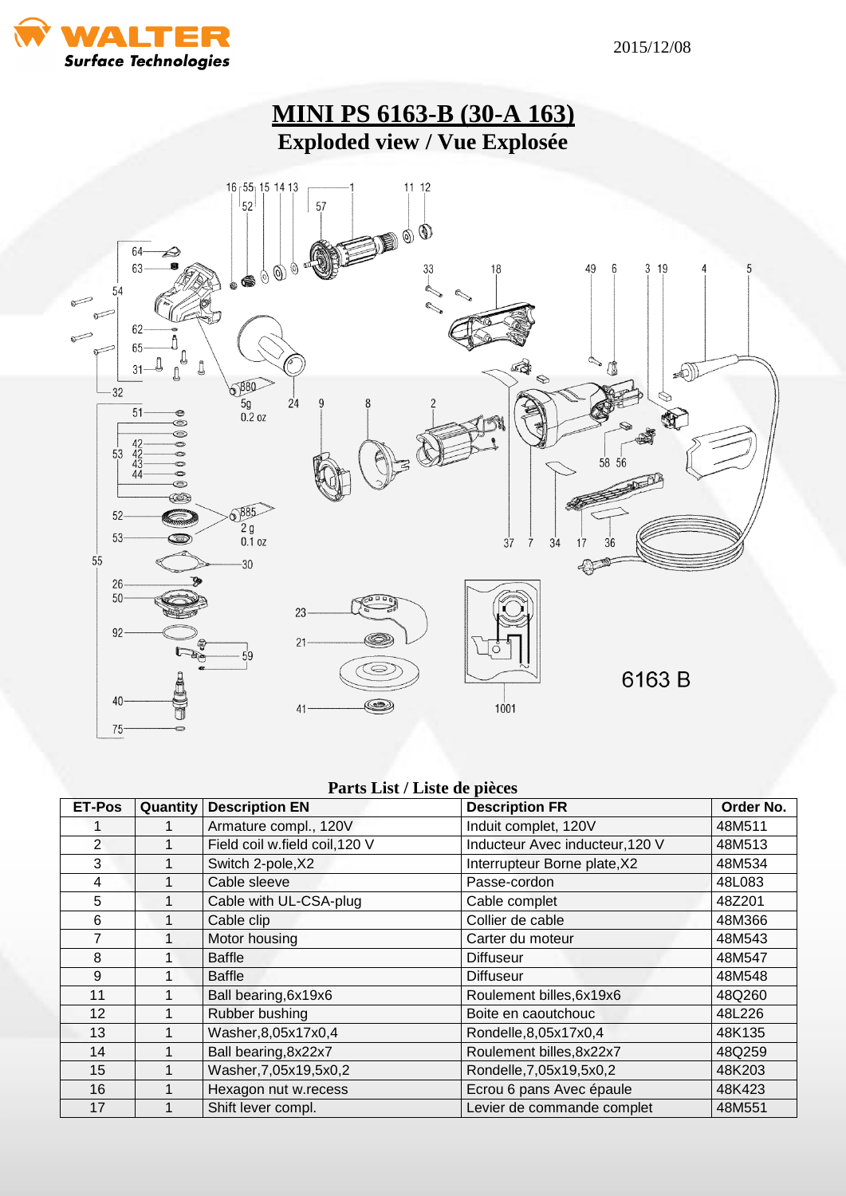



## **Parts List / Liste de pièces**

| <b>ET-Pos</b>  | Quantity | <b>Description EN</b>          | <b>Description FR</b>           | Order No. |
|----------------|----------|--------------------------------|---------------------------------|-----------|
|                |          | Armature compl., 120V          | Induit complet, 120V            | 48M511    |
| $\overline{2}$ |          | Field coil w.field coil, 120 V | Inducteur Avec inducteur, 120 V | 48M513    |
| 3              |          | Switch 2-pole, X2              | Interrupteur Borne plate, X2    | 48M534    |
| 4              |          | Cable sleeve                   | Passe-cordon                    | 48L083    |
| 5              |          | Cable with UL-CSA-plug         | Cable complet                   | 48Z201    |
| 6              |          | Cable clip                     | Collier de cable                | 48M366    |
| 7              |          | Motor housing                  | Carter du moteur                | 48M543    |
| 8              |          | <b>Baffle</b>                  | <b>Diffuseur</b>                | 48M547    |
| 9              |          | <b>Baffle</b>                  | <b>Diffuseur</b>                | 48M548    |
| 11             |          | Ball bearing, 6x19x6           | Roulement billes, 6x19x6        | 48Q260    |
| 12             |          | Rubber bushing                 | Boite en caoutchouc             | 48L226    |
| 13             |          | Washer, 8, 05x17x0, 4          | Rondelle, 8, 05x17x0, 4         | 48K135    |
| 14             |          | Ball bearing, 8x22x7           | Roulement billes, 8x22x7        | 48Q259    |
| 15             |          | Washer, 7, 05x19, 5x0, 2       | Rondelle, 7, 05x19, 5x0, 2      | 48K203    |
| 16             |          | Hexagon nut w.recess           | Ecrou 6 pans Avec épaule        | 48K423    |
| 17             |          | Shift lever compl.             | Levier de commande complet      | 48M551    |